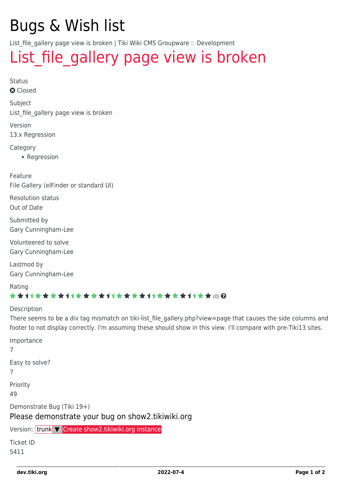## Bugs & Wish list

List file gallery page view is broken | Tiki Wiki CMS Groupware :: Development

## List file gallery page view is broken

Status **Q** Closed Subject List file gallery page view is broken Version 13.x Regression Category • Regression Feature File Gallery (elFinder or standard UI) Resolution status Out of Date Submitted by Gary Cunningham-Lee Volunteered to solve Gary Cunningham-Lee Lastmod by Gary Cunningham-Lee Rating \*\*\*\*\*\*\*\*\*\*\*\*\*\*\*\*\*\*\*\*\*\*\*\*\*\*\*\*\*\* Description There seems to be a div tag mismatch on tiki-list file gallery.php?view=page that causes the side columns and footer to not display correctly. I'm assuming these should show in this view. I'll compare with pre-Tiki13 sites. Importance 7 Easy to solve? 7 Priority 49 Demonstrate Bug (Tiki 19+) Please demonstrate your bug on show2.tikiwiki.org Version: trunk ▼ [Create show2.tikiwiki.org instance](#page--1-0)

Ticket ID 5411